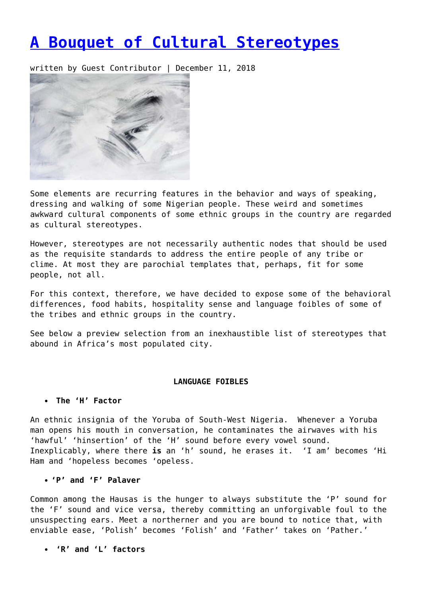# **[A Bouquet of Cultural Stereotypes](https://entropymag.org/a-bouquet-of-cultural-stereotypes/)**

written by Guest Contributor | December 11, 2018



Some elements are recurring features in the behavior and ways of speaking, dressing and walking of some Nigerian people. These weird and sometimes awkward cultural components of some ethnic groups in the country are regarded as cultural stereotypes.

However, stereotypes are not necessarily authentic nodes that should be used as the requisite standards to address the entire people of any tribe or clime. At most they are parochial templates that, perhaps, fit for some people, not all.

For this context, therefore, we have decided to expose some of the behavioral differences, food habits, hospitality sense and language foibles of some of the tribes and ethnic groups in the country.

See below a preview selection from an inexhaustible list of stereotypes that abound in Africa's most populated city.

# **LANGUAGE FOIBLES**

# **The 'H' Factor**

An ethnic insignia of the Yoruba of South-West Nigeria. Whenever a Yoruba man opens his mouth in conversation, he contaminates the airwaves with his 'hawful' 'hinsertion' of the 'H' sound before every vowel sound. Inexplicably, where there **is** an 'h' sound, he erases it. 'I am' becomes 'Hi Ham and 'hopeless becomes 'opeless.

# **'P' and 'F' Palaver**

Common among the Hausas is the hunger to always substitute the 'P' sound for the 'F' sound and vice versa, thereby committing an unforgivable foul to the unsuspecting ears. Meet a northerner and you are bound to notice that, with enviable ease, 'Polish' becomes 'Folish' and 'Father' takes on 'Pather.'

**'R' and 'L' factors**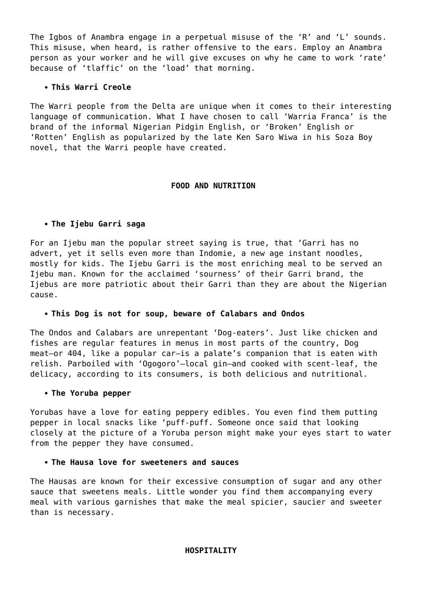The Igbos of Anambra engage in a perpetual misuse of the 'R' and 'L' sounds. This misuse, when heard, is rather offensive to the ears. Employ an Anambra person as your worker and he will give excuses on why he came to work 'rate' because of 'tlaffic' on the 'load' that morning.

# **This Warri Creole**

The Warri people from the Delta are unique when it comes to their interesting language of communication. What I have chosen to call 'Warria Franca' is the brand of the informal Nigerian Pidgin English, or 'Broken' English or 'Rotten' English as popularized by the late Ken Saro Wiwa in his Soza Boy novel, that the Warri people have created.

### **FOOD AND NUTRITION**

### **The Ijebu Garri saga**

For an Ijebu man the popular street saying is true, that 'Garri has no advert, yet it sells even more than Indomie, a new age instant noodles, mostly for kids. The Ijebu Garri is the most enriching meal to be served an Ijebu man. Known for the acclaimed 'sourness' of their Garri brand, the Ijebus are more patriotic about their Garri than they are about the Nigerian cause.

#### **This Dog is not for soup, beware of Calabars and Ondos**

The Ondos and Calabars are unrepentant 'Dog-eaters'. Just like chicken and fishes are regular features in menus in most parts of the country, Dog meat—or 404, like a popular car—is a palate's companion that is eaten with relish. Parboiled with 'Ogogoro'—local gin—and cooked with scent-leaf, the delicacy, according to its consumers, is both delicious and nutritional.

#### **The Yoruba pepper**

Yorubas have a love for eating peppery edibles. You even find them putting pepper in local snacks like 'puff-puff. Someone once said that looking closely at the picture of a Yoruba person might make your eyes start to water from the pepper they have consumed.

### **The Hausa love for sweeteners and sauces**

The Hausas are known for their excessive consumption of sugar and any other sauce that sweetens meals. Little wonder you find them accompanying every meal with various garnishes that make the meal spicier, saucier and sweeter than is necessary.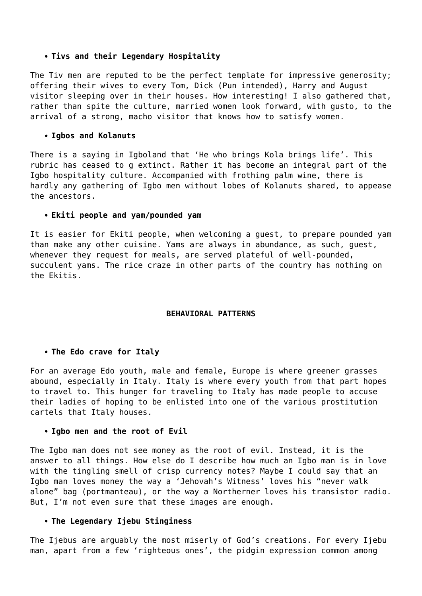#### **Tivs and their Legendary Hospitality**

The Tiv men are reputed to be the perfect template for impressive generosity; offering their wives to every Tom, Dick (Pun intended), Harry and August visitor sleeping over in their houses. How interesting! I also gathered that, rather than spite the culture, married women look forward, with gusto, to the arrival of a strong, macho visitor that knows how to satisfy women.

# **Igbos and Kolanuts**

There is a saying in Igboland that 'He who brings Kola brings life'. This rubric has ceased to g extinct. Rather it has become an integral part of the Igbo hospitality culture. Accompanied with frothing palm wine, there is hardly any gathering of Igbo men without lobes of Kolanuts shared, to appease the ancestors.

### **Ekiti people and yam/pounded yam**

It is easier for Ekiti people, when welcoming a guest, to prepare pounded yam than make any other cuisine. Yams are always in abundance, as such, guest, whenever they request for meals, are served plateful of well-pounded, succulent yams. The rice craze in other parts of the country has nothing on the Ekitis.

# **BEHAVIORAL PATTERNS**

# **The Edo crave for Italy**

For an average Edo youth, male and female, Europe is where greener grasses abound, especially in Italy. Italy is where every youth from that part hopes to travel to. This hunger for traveling to Italy has made people to accuse their ladies of hoping to be enlisted into one of the various prostitution cartels that Italy houses.

#### **Igbo men and the root of Evil**

The Igbo man does not see money as the root of evil. Instead, it is the answer to all things. How else do I describe how much an Igbo man is in love with the tingling smell of crisp currency notes? Maybe I could say that an Igbo man loves money the way a 'Jehovah's Witness' loves his "never walk alone" bag (portmanteau), or the way a Northerner loves his transistor radio. But, I'm not even sure that these images are enough.

#### **The Legendary Ijebu Stinginess**

The Ijebus are arguably the most miserly of God's creations. For every Ijebu man, apart from a few 'righteous ones', the pidgin expression common among